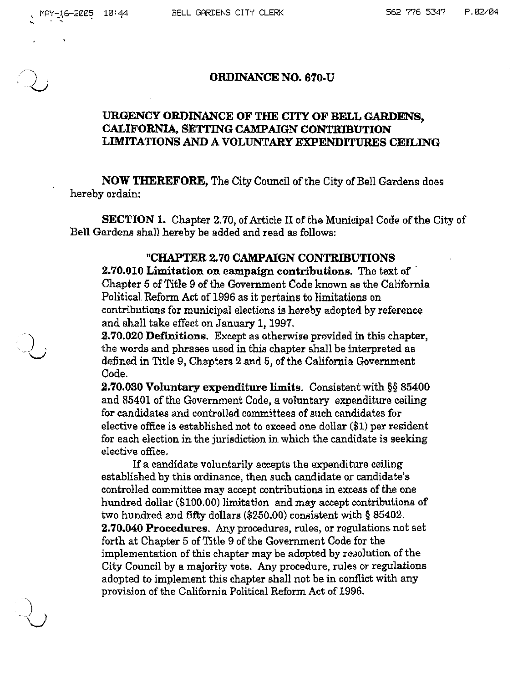### ORDINANCE NO. 670-U

# URGENCY ORDINANCE OF THE CITY OF BELL GARDENS, CALIFORNIA. SETTING CAMPAIGN CONTRIBUTION LIMITATIONS AND A VOLUNTARY EXPENDITURES CEILING

NOW THEREFORE, The City Council of the City of Bell Gardens does hereby ordain:

SECTION 1. Chapter 2.70, of Article II of the Municipal Code of the City of Bell Gardens shall hereby be added and read as follows:

## "CHAPTER 2.70 CAMPAIGN CONTRIBUTIONS

2.70.010 Limitation on campaign contributions. The text of . Chapter 5 of Title 9 of the Government Code known as the California Political Reform Act of 1996 as it pertains to limitations on contributions for municipal elections is hereby adopted by reference and shall take effect on January 1. 1997.

2.70.020 Def'mitions. Except as otherwise provided in this chapter, the words and phrases used in this chapter shall be interpreted as defined in Title 9, Chapters 2 and 5, of the California Government Oode.

2.70.030 Voluntary expenditure limits. Consistent with §§ 85400 and 85401 of the Government Code, a voluntary expenditure ceiling for candidates and controlled committees of such candidates for elective office is established not to exceed one dollar (\$1) per resident for each election jn the jurisdiction in which the candidate is seeking elective office.

If a candidate voluntarily accepts the expenditure ceiling established by this ordinance, then such candidate or candidate's controlled committee may accept contributions in excess of the one hundred dollar (\$100.00) limitation and may accept contributions of two hundred and fifty dollars (\$250.00) consistent with § 85402. 2.70.040 Procedures. Any procedures, rules, or regulations not set forth at Chapter 5 of Title 9 of the Government Code for the implementation of this chapter may be adopted by resolution of the City Council by a majority vote. Any procedure, rules or regulations adopted to implement this chapter shall not be in conflict with any provision of the California Political Reform Act of 1996.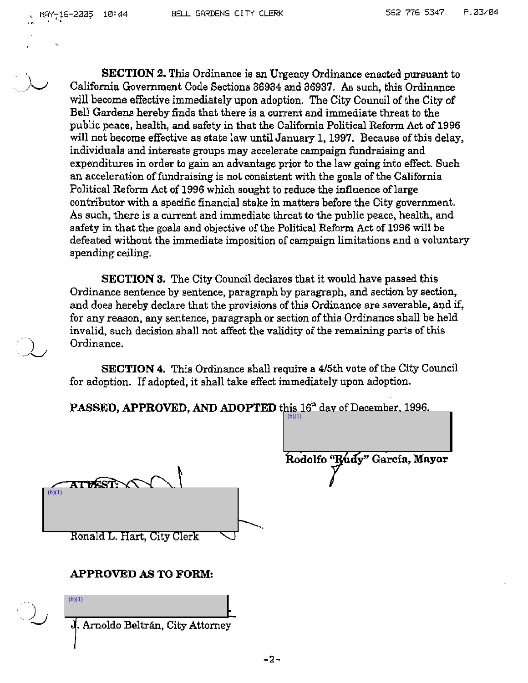**SECTION 2.** This Ordinance is an Urgency Ordinance enacted pursuant to California Government Code Sections 36934 and 36937. As such, this Ordinance will become effective immediately upon adoption. The City Council of the City of Bell Gardens hereby finds that there is a current and immediate threat to the public peace, health, and safety in that the California Political Reform Act of 1996 will not become effective as state law until January 1, 1997. Because of this delay, individuals and interests groups may accelerate campaign fundraising and expenditures in order to gain an advantage prior to the law going into effect. Such an acceleration of fundraising is not consistent with the goals of the California Political Reform Act of 1996 which sought to reduce the influence of large contributor with a specific financial stake in matters before the City government. As such, there is a current and immediate threat to the public peace, health, and safety in that the goals and objective of the Political Reform Act of 1996 will be defeated without the immediate imposition of campaign limitations and a voluntary spending ceiling.

**SECTION 3.** The City Council declares that it would have passed this Ordinance sentence by sentence, paragraph by paragraph, and section by section, and does hereby declare that the provisions of this Ordinance are severable, and if, for any reason, any sentence, paragraph or section of this Ordinance shall be held invalid, such decision shall not affect the validity of the remaining parts of this Ordinance.

**SECTION 4.** This Ordinance shall require a 415th vote of the City Council for adoption. If adopted, it shall take effect immediately upon adoption.

 $(b)(1)$ 

PASSED, APPROVED, AND ADOPTED this 16<sup>th</sup> day of December, 1996.

**ATTESTS**  $(b)(1)$ Ronald L. Hart, City Clerk

Rodolfo "Rúdy" García, Mayor

#### **APPROVED AS TO FORM:**

 $(b)(1)$ 

. Arnoldo Beltran, City Attorney